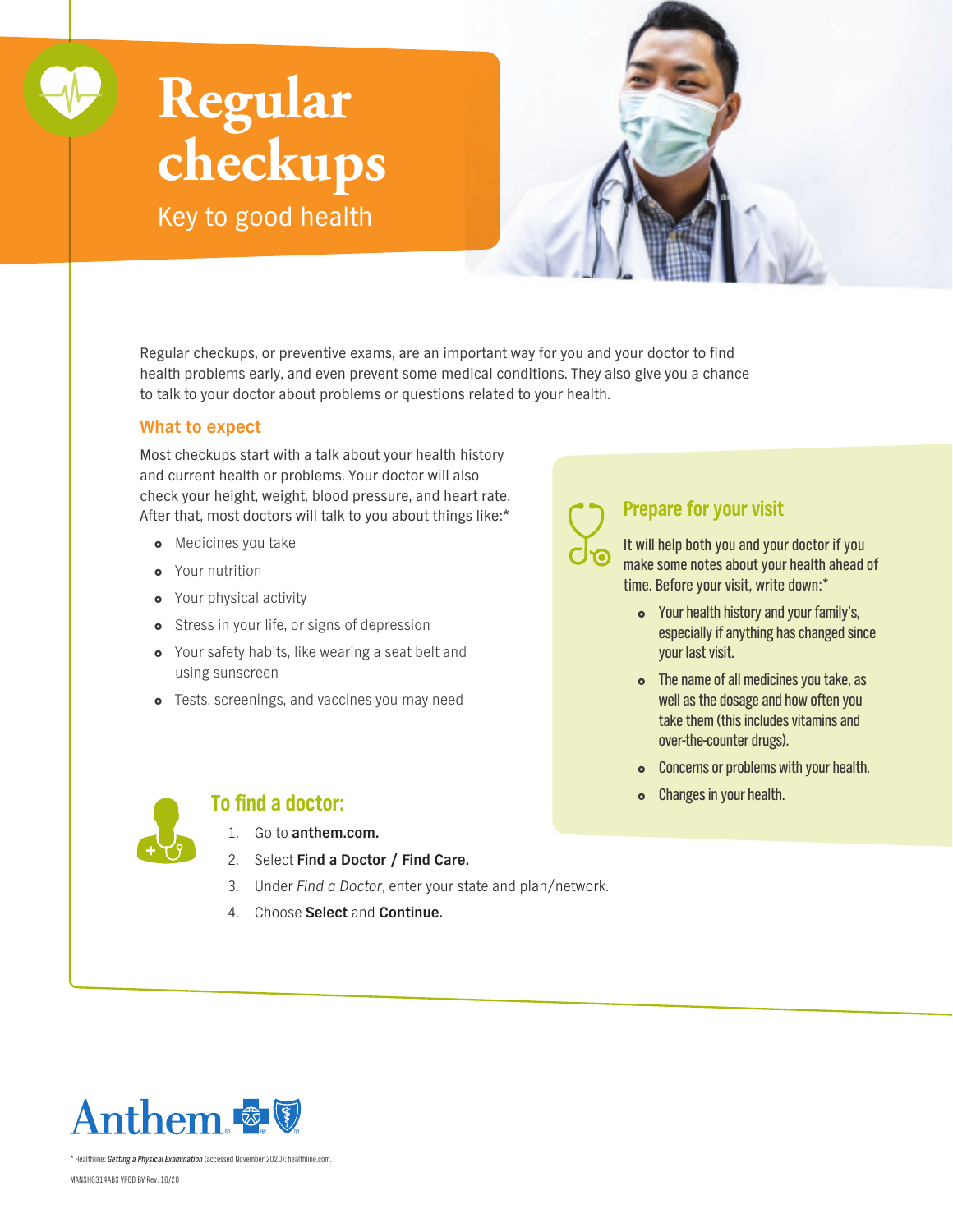# **Regular checkups**

Key to good health



Regular checkups, or preventive exams, are an important way for you and your doctor to find health problems early, and even prevent some medical conditions. They also give you a chance to talk to your doctor about problems or questions related to your health.

#### **What to expect**

Most checkups start with a talk about your health history and current health or problems. Your doctor will also check your height, weight, blood pressure, and heart rate. After that, most doctors will talk to you about things like:\*

- **o** Medicines you take
- Your nutrition
- **•** Your physical activity
- o Stress in your life, or signs of depression
- Your safety habits, like wearing a seat belt and using sunscreen
- **o** Tests, screenings, and vaccines you may need

## **Prepare for your visit**

It will help both you and your doctor if you make some notes about your health ahead of time. Before your visit, write down:\*

- Your health history and your family's, especially if anything has changed since your last visit.
- The name of all medicines you take, as well as the dosage and how often you take them (this includes vitamins and over-the-counter drugs).
- **o** Concerns or problems with your health.
- **o** Changes in your health.



### **To find a doctor:**

- 1. Go to **[anthem.com](http://anthem.com).**
- 2. Select **Find a Doctor / Find Care.**
- 3. Under Find a Doctor, enter your state and plan/network.
- 4. Choose **Select** and **Continue.**